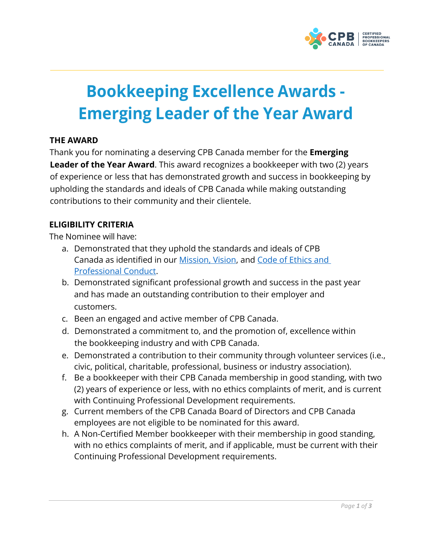

# **Bookkeeping Excellence Awards - Emerging Leader of the Year Award**

# **THE AWARD**

Thank you for nominating a deserving CPB Canada member for the **Emerging Leader of the Year Award**. This award recognizes a bookkeeper with two (2) years of experience or less that has demonstrated growth and success in bookkeeping by upholding the standards and ideals of CPB Canada while making outstanding contributions to their community and their clientele.

## **ELIGIBILITY CRITERIA**

The Nominee will have:

- a. Demonstrated that they uphold the standards and ideals of CPB Canada as identified in our [Mission, Vision, a](https://cpbcan.ca/about/about.html)nd [Code of Ethics and](https://cpbcan.ca/about/ethics/code-of-conduct.html)  [Professional Conduct.](https://cpbcan.ca/about/ethics/code-of-conduct.html)
- b. Demonstrated significant professional growth and success in the past year and has made an outstanding contribution to their employer and customers.
- c. Been an engaged and active member of CPB Canada.
- d. Demonstrated a commitment to, and the promotion of, excellence within the bookkeeping industry and with CPB Canada.
- e. Demonstrated a contribution to their community through volunteer services (i.e., civic, political, charitable, professional, business or industry association).
- f. Be a bookkeeper with their CPB Canada membership in good standing, with two (2) years of experience or less, with no ethics complaints of merit, and is current with Continuing Professional Development requirements.
- g. Current members of the CPB Canada Board of Directors and CPB Canada employees are not eligible to be nominated for this award.
- h. A Non-Certified Member bookkeeper with their membership in good standing, with no ethics complaints of merit, and if applicable, must be current with their Continuing Professional Development requirements.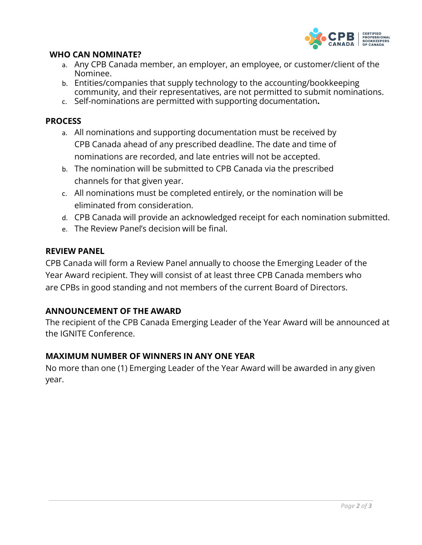

#### **WHO CAN NOMINATE?**

- a. Any CPB Canada member, an employer, an employee, or customer/client of the Nominee.
- b. Entities/companies that supply technology to the accounting/bookkeeping community, and their representatives, are not permitted to submit nominations.
- c. Self-nominations are permitted with supporting documentation**.**

#### **PROCESS**

- a. All nominations and supporting documentation must be received by CPB Canada ahead of any prescribed deadline. The date and time of nominations are recorded, and late entries will not be accepted.
- b. The nomination will be submitted to CPB Canada via the prescribed channels for that given year.
- c. All nominations must be completed entirely, or the nomination will be eliminated from consideration.
- d. CPB Canada will provide an acknowledged receipt for each nomination submitted.
- e. The Review Panel's decision will be final.

#### **REVIEW PANEL**

CPB Canada will form a Review Panel annually to choose the Emerging Leader of the Year Award recipient. They will consist of at least three CPB Canada members who are CPBs in good standing and not members of the current Board of Directors.

#### **ANNOUNCEMENT OF THE AWARD**

The recipient of the CPB Canada Emerging Leader of the Year Award will be announced at the IGNITE Conference.

## **MAXIMUM NUMBER OF WINNERS IN ANY ONE YEAR**

No more than one (1) Emerging Leader of the Year Award will be awarded in any given year.